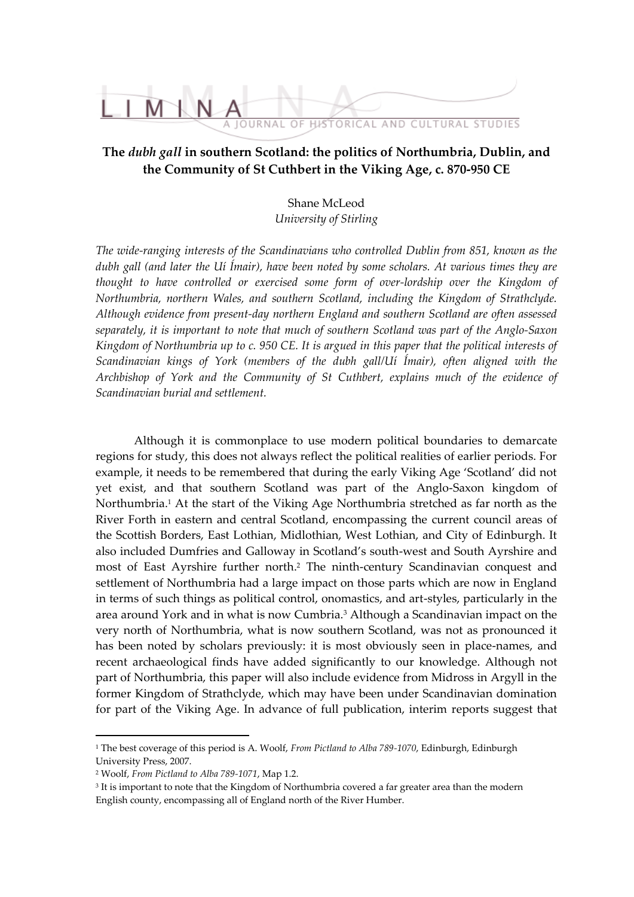

# **The** *dubh gall* **in southern Scotland: the politics of Northumbria, Dublin, and the Community of St Cuthbert in the Viking Age, c. 870-950 CE**

Shane McLeod *University of Stirling*

*The wide-ranging interests of the Scandinavians who controlled Dublin from 851, known as the dubh gall (and later the Uí Ímair), have been noted by some scholars. At various times they are thought to have controlled or exercised some form of over-lordship over the Kingdom of Northumbria, northern Wales, and southern Scotland, including the Kingdom of Strathclyde. Although evidence from present-day northern England and southern Scotland are often assessed separately, it is important to note that much of southern Scotland was part of the Anglo-Saxon Kingdom of Northumbria up to c. 950 CE. It is argued in this paper that the political interests of Scandinavian kings of York (members of the dubh gall/Uí Ímair), often aligned with the Archbishop of York and the Community of St Cuthbert, explains much of the evidence of Scandinavian burial and settlement.*

Although it is commonplace to use modern political boundaries to demarcate regions for study, this does not always reflect the political realities of earlier periods. For example, it needs to be remembered that during the early Viking Age 'Scotland' did not yet exist, and that southern Scotland was part of the Anglo-Saxon kingdom of Northumbria.<sup>1</sup> At the start of the Viking Age Northumbria stretched as far north as the River Forth in eastern and central Scotland, encompassing the current council areas of the Scottish Borders, East Lothian, Midlothian, West Lothian, and City of Edinburgh. It also included Dumfries and Galloway in Scotland's south-west and South Ayrshire and most of East Ayrshire further north.<sup>2</sup> The ninth-century Scandinavian conquest and settlement of Northumbria had a large impact on those parts which are now in England in terms of such things as political control, onomastics, and art-styles, particularly in the area around York and in what is now Cumbria.<sup>3</sup> Although a Scandinavian impact on the very north of Northumbria, what is now southern Scotland, was not as pronounced it has been noted by scholars previously: it is most obviously seen in place-names, and recent archaeological finds have added significantly to our knowledge. Although not part of Northumbria, this paper will also include evidence from Midross in Argyll in the former Kingdom of Strathclyde, which may have been under Scandinavian domination for part of the Viking Age. In advance of full publication, interim reports suggest that

<sup>1</sup> The best coverage of this period is A. Woolf, *From Pictland to Alba 789-1070*, Edinburgh, Edinburgh University Press, 2007.

<sup>2</sup> Woolf, *From Pictland to Alba 789-1071*, Map 1.2.

 $^3$  It is important to note that the Kingdom of Northumbria covered a far greater area than the modern English county, encompassing all of England north of the River Humber.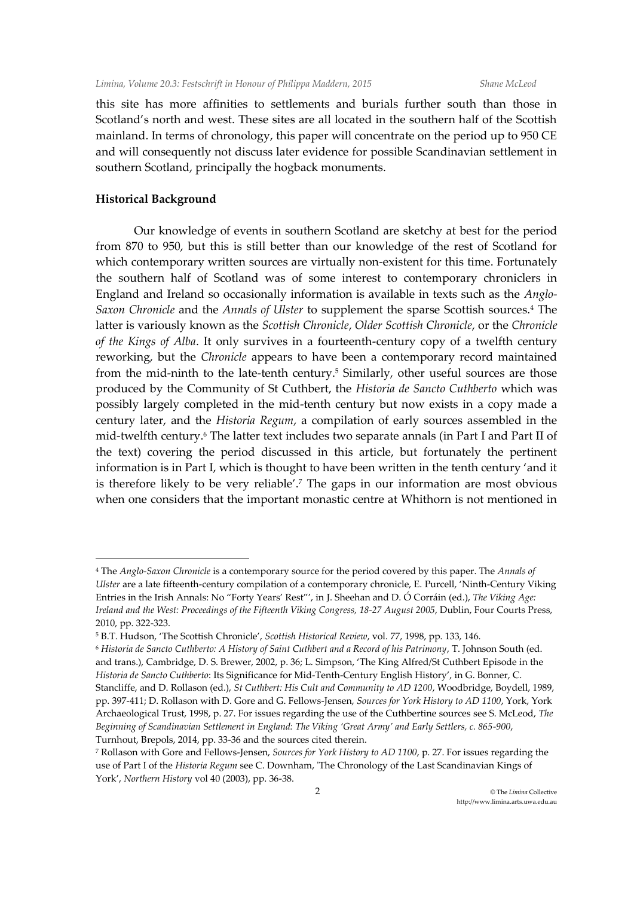this site has more affinities to settlements and burials further south than those in Scotland's north and west. These sites are all located in the southern half of the Scottish mainland. In terms of chronology, this paper will concentrate on the period up to 950 CE and will consequently not discuss later evidence for possible Scandinavian settlement in southern Scotland, principally the hogback monuments.

## **Historical Background**

 $\overline{a}$ 

Our knowledge of events in southern Scotland are sketchy at best for the period from 870 to 950, but this is still better than our knowledge of the rest of Scotland for which contemporary written sources are virtually non-existent for this time. Fortunately the southern half of Scotland was of some interest to contemporary chroniclers in England and Ireland so occasionally information is available in texts such as the *Anglo-Saxon Chronicle* and the *Annals of Ulster* to supplement the sparse Scottish sources.<sup>4</sup> The latter is variously known as the *Scottish Chronicle*, *Older Scottish Chronicle*, or the *Chronicle of the Kings of Alba*. It only survives in a fourteenth-century copy of a twelfth century reworking, but the *Chronicle* appears to have been a contemporary record maintained from the mid-ninth to the late-tenth century.<sup>5</sup> Similarly, other useful sources are those produced by the Community of St Cuthbert, the *Historia de Sancto Cuthberto* which was possibly largely completed in the mid-tenth century but now exists in a copy made a century later, and the *Historia Regum*, a compilation of early sources assembled in the mid-twelfth century.<sup>6</sup> The latter text includes two separate annals (in Part I and Part II of the text) covering the period discussed in this article, but fortunately the pertinent information is in Part I, which is thought to have been written in the tenth century 'and it is therefore likely to be very reliable'.<sup>7</sup> The gaps in our information are most obvious when one considers that the important monastic centre at Whithorn is not mentioned in

<sup>4</sup> The *Anglo-Saxon Chronicle* is a contemporary source for the period covered by this paper. The *Annals of Ulster* are a late fifteenth-century compilation of a contemporary chronicle, E. Purcell, 'Ninth-Century Viking Entries in the Irish Annals: No "Forty Years' Rest"', in J. Sheehan and D. Ó Corráin (ed.), *The Viking Age: Ireland and the West: Proceedings of the Fifteenth Viking Congress, 18-27 August 2005*, Dublin, Four Courts Press, 2010, pp. 322-323.

<sup>5</sup> B.T. Hudson, 'The Scottish Chronicle', *Scottish Historical Review*, vol. 77, 1998, pp. 133, 146.

<sup>6</sup> *Historia de Sancto Cuthberto: A History of Saint Cuthbert and a Record of his Patrimony*, T. Johnson South (ed. and trans.), Cambridge, D. S. Brewer, 2002, p. 36; L. Simpson, 'The King Alfred/St Cuthbert Episode in the *Historia de Sancto Cuthberto*: Its Significance for Mid-Tenth-Century English History', in G. Bonner, C. Stancliffe, and D. Rollason (ed.), *St Cuthbert: His Cult and Community to AD 1200*, Woodbridge, Boydell, 1989, pp. 397-411; D. Rollason with D. Gore and G. Fellows-Jensen, *Sources for York History to AD 1100*, York, York Archaeological Trust, 1998, p. 27. For issues regarding the use of the Cuthbertine sources see S. McLeod, *The Beginning of Scandinavian Settlement in England: The Viking 'Great Army' and Early Settlers, c. 865-900*, Turnhout, Brepols, 2014, pp. 33-36 and the sources cited therein.

<sup>7</sup> Rollason with Gore and Fellows-Jensen, *Sources for York History to AD 1100*, p. 27. For issues regarding the use of Part I of the *Historia Regum* see C. Downham, 'The Chronology of the Last Scandinavian Kings of York', *Northern History* vol 40 (2003), pp. 36-38.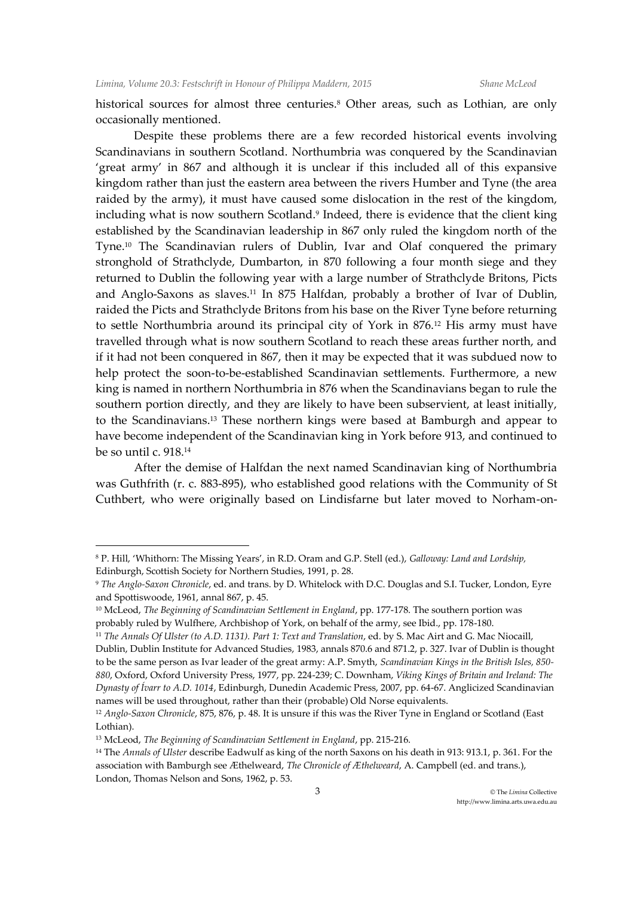historical sources for almost three centuries.<sup>8</sup> Other areas, such as Lothian, are only occasionally mentioned.

Despite these problems there are a few recorded historical events involving Scandinavians in southern Scotland. Northumbria was conquered by the Scandinavian 'great army' in 867 and although it is unclear if this included all of this expansive kingdom rather than just the eastern area between the rivers Humber and Tyne (the area raided by the army), it must have caused some dislocation in the rest of the kingdom, including what is now southern Scotland.<sup>9</sup> Indeed, there is evidence that the client king established by the Scandinavian leadership in 867 only ruled the kingdom north of the Tyne.<sup>10</sup> The Scandinavian rulers of Dublin, Ivar and Olaf conquered the primary stronghold of Strathclyde, Dumbarton, in 870 following a four month siege and they returned to Dublin the following year with a large number of Strathclyde Britons, Picts and Anglo-Saxons as slaves.<sup>11</sup> In 875 Halfdan, probably a brother of Ivar of Dublin, raided the Picts and Strathclyde Britons from his base on the River Tyne before returning to settle Northumbria around its principal city of York in 876.<sup>12</sup> His army must have travelled through what is now southern Scotland to reach these areas further north, and if it had not been conquered in 867, then it may be expected that it was subdued now to help protect the soon-to-be-established Scandinavian settlements. Furthermore, a new king is named in northern Northumbria in 876 when the Scandinavians began to rule the southern portion directly, and they are likely to have been subservient, at least initially, to the Scandinavians.<sup>13</sup> These northern kings were based at Bamburgh and appear to have become independent of the Scandinavian king in York before 913, and continued to be so until c. 918.<sup>14</sup>

After the demise of Halfdan the next named Scandinavian king of Northumbria was Guthfrith (r. c. 883-895), who established good relations with the Community of St Cuthbert, who were originally based on Lindisfarne but later moved to Norham-on-

 $\ddot{\phantom{a}}$ 

<sup>8</sup> P. Hill, 'Whithorn: The Missing Years', in R.D. Oram and G.P. Stell (ed.), *Galloway: Land and Lordship,*  Edinburgh, Scottish Society for Northern Studies, 1991, p. 28.

<sup>9</sup> *The Anglo-Saxon Chronicle*, ed. and trans. by D. Whitelock with D.C. Douglas and S.I. Tucker, London, Eyre and Spottiswoode, 1961, annal 867, p. 45.

<sup>&</sup>lt;sup>10</sup> McLeod, *The Beginning of Scandinavian Settlement in England*, pp. 177-178. The southern portion was probably ruled by Wulfhere, Archbishop of York, on behalf of the army, see Ibid., pp. 178-180.

<sup>11</sup> *The Annals Of Ulster (to A.D. 1131). Part 1: Text and Translation*, ed. by S. Mac Airt and G. Mac Niocaill, Dublin, Dublin Institute for Advanced Studies, 1983, annals 870.6 and 871.2, p. 327. Ivar of Dublin is thought to be the same person as Ivar leader of the great army: A.P. Smyth, *Scandinavian Kings in the British Isles, 850- 880*, Oxford, Oxford University Press, 1977, pp. 224-239; C. Downham, *Viking Kings of Britain and Ireland: The Dynasty of Ívarr to A.D. 1014*, Edinburgh, Dunedin Academic Press, 2007, pp. 64-67. Anglicized Scandinavian names will be used throughout, rather than their (probable) Old Norse equivalents.

<sup>12</sup> *Anglo-Saxon Chronicle*, 875, 876, p. 48. It is unsure if this was the River Tyne in England or Scotland (East Lothian).

<sup>13</sup> McLeod, *The Beginning of Scandinavian Settlement in England*, pp. 215-216.

<sup>14</sup> The *Annals of Ulster* describe Eadwulf as king of the north Saxons on his death in 913: 913.1, p. 361. For the association with Bamburgh see Æthelweard, *The Chronicle of Æthelweard*, A. Campbell (ed. and trans.), London, Thomas Nelson and Sons, 1962, p. 53.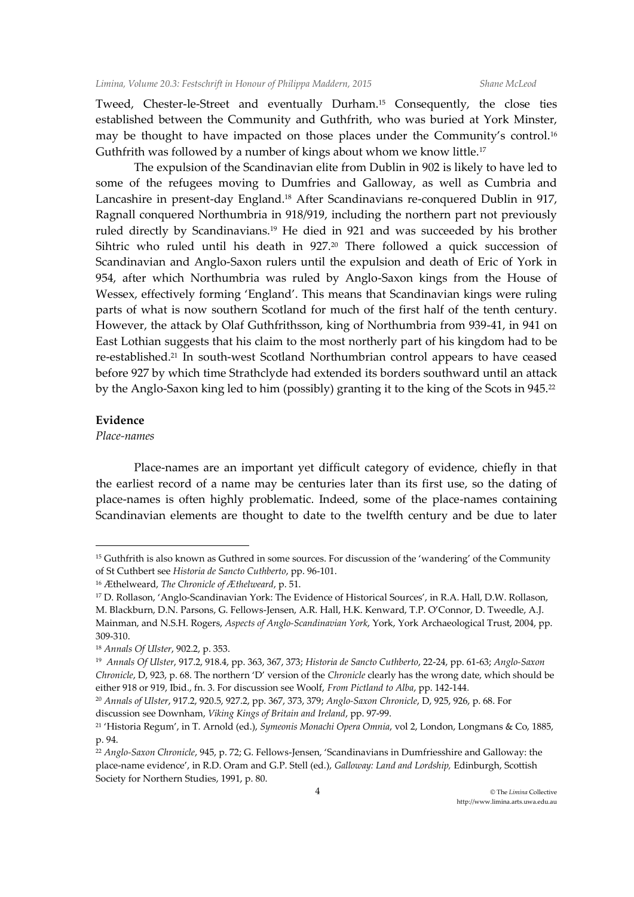Tweed, Chester-le-Street and eventually Durham.<sup>15</sup> Consequently, the close ties established between the Community and Guthfrith, who was buried at York Minster, may be thought to have impacted on those places under the Community's control.<sup>16</sup> Guthfrith was followed by a number of kings about whom we know little.<sup>17</sup>

The expulsion of the Scandinavian elite from Dublin in 902 is likely to have led to some of the refugees moving to Dumfries and Galloway, as well as Cumbria and Lancashire in present-day England.<sup>18</sup> After Scandinavians re-conquered Dublin in 917, Ragnall conquered Northumbria in 918/919, including the northern part not previously ruled directly by Scandinavians.<sup>19</sup> He died in 921 and was succeeded by his brother Sihtric who ruled until his death in 927.<sup>20</sup> There followed a quick succession of Scandinavian and Anglo-Saxon rulers until the expulsion and death of Eric of York in 954, after which Northumbria was ruled by Anglo-Saxon kings from the House of Wessex, effectively forming 'England'. This means that Scandinavian kings were ruling parts of what is now southern Scotland for much of the first half of the tenth century. However, the attack by Olaf Guthfrithsson, king of Northumbria from 939-41, in 941 on East Lothian suggests that his claim to the most northerly part of his kingdom had to be re-established.<sup>21</sup> In south-west Scotland Northumbrian control appears to have ceased before 927 by which time Strathclyde had extended its borders southward until an attack by the Anglo-Saxon king led to him (possibly) granting it to the king of the Scots in 945.<sup>22</sup>

## **Evidence**

 $\ddot{\phantom{a}}$ 

## *Place-names*

Place-names are an important yet difficult category of evidence, chiefly in that the earliest record of a name may be centuries later than its first use, so the dating of place-names is often highly problematic. Indeed, some of the place-names containing Scandinavian elements are thought to date to the twelfth century and be due to later

<sup>&</sup>lt;sup>15</sup> Guthfrith is also known as Guthred in some sources. For discussion of the 'wandering' of the Community of St Cuthbert see *Historia de Sancto Cuthberto*, pp. 96-101.

<sup>16</sup> Æthelweard, *The Chronicle of Æthelweard*, p. 51.

<sup>17</sup> D. Rollason, 'Anglo-Scandinavian York: The Evidence of Historical Sources', in R.A. Hall, D.W. Rollason, M. Blackburn, D.N. Parsons, G. Fellows-Jensen, A.R. Hall, H.K. Kenward, T.P. O'Connor, D. Tweedle, A.J. Mainman, and N.S.H. Rogers, *Aspects of Anglo-Scandinavian York*, York, York Archaeological Trust, 2004, pp. 309-310.

<sup>18</sup> *Annals Of Ulster*, 902.2, p. 353.

<sup>19</sup> *Annals Of Ulster*, 917.2, 918.4, pp. 363, 367, 373; *Historia de Sancto Cuthberto*, 22-24, pp. 61-63; *Anglo-Saxon Chronicle*, D, 923, p. 68. The northern 'D' version of the *Chronicle* clearly has the wrong date, which should be either 918 or 919, Ibid., fn. 3. For discussion see Woolf, *From Pictland to Alba*, pp. 142-144.

<sup>20</sup> *Annals of Ulster*, 917.2, 920.5, 927.2, pp. 367, 373, 379; *Anglo-Saxon Chronicle*, D, 925, 926, p. 68. For discussion see Downham, *Viking Kings of Britain and Ireland*, pp. 97-99.

<sup>21</sup> 'Historia Regum', in T. Arnold (ed.), *Symeonis Monachi Opera Omnia*, vol 2, London, Longmans & Co, 1885, p. 94.

<sup>22</sup> *Anglo-Saxon Chronicle*, 945, p. 72; G. Fellows-Jensen, 'Scandinavians in Dumfriesshire and Galloway: the place-name evidence', in R.D. Oram and G.P. Stell (ed.), *Galloway: Land and Lordship,* Edinburgh, Scottish Society for Northern Studies, 1991, p. 80.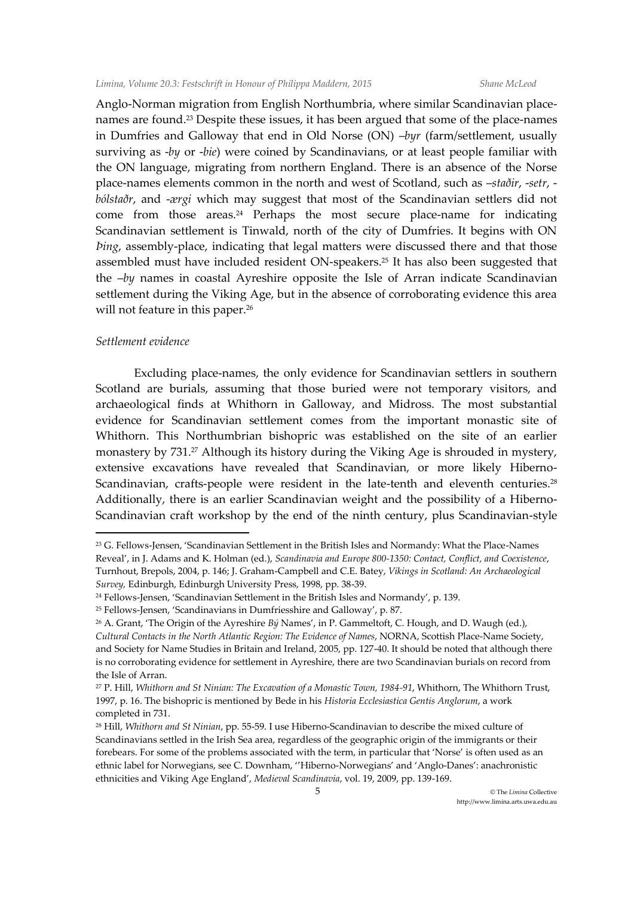Anglo-Norman migration from English Northumbria, where similar Scandinavian placenames are found.<sup>23</sup> Despite these issues, it has been argued that some of the place-names in Dumfries and Galloway that end in Old Norse (ON) –*byr* (farm/settlement, usually surviving as -*by* or -*bie*) were coined by Scandinavians, or at least people familiar with the ON language, migrating from northern England. There is an absence of the Norse place-names elements common in the north and west of Scotland, such as –*staðir*, -*setr*, *bólstaðr*, and -*ærgi* which may suggest that most of the Scandinavian settlers did not come from those areas.<sup>24</sup> Perhaps the most secure place-name for indicating Scandinavian settlement is Tinwald, north of the city of Dumfries. It begins with ON *Þing*, assembly-place, indicating that legal matters were discussed there and that those assembled must have included resident ON-speakers.<sup>25</sup> It has also been suggested that the –*by* names in coastal Ayreshire opposite the Isle of Arran indicate Scandinavian settlement during the Viking Age, but in the absence of corroborating evidence this area will not feature in this paper.<sup>26</sup>

#### *Settlement evidence*

 $\ddot{\phantom{a}}$ 

Excluding place-names, the only evidence for Scandinavian settlers in southern Scotland are burials, assuming that those buried were not temporary visitors, and archaeological finds at Whithorn in Galloway, and Midross. The most substantial evidence for Scandinavian settlement comes from the important monastic site of Whithorn. This Northumbrian bishopric was established on the site of an earlier monastery by 731.<sup>27</sup> Although its history during the Viking Age is shrouded in mystery, extensive excavations have revealed that Scandinavian, or more likely Hiberno-Scandinavian, crafts-people were resident in the late-tenth and eleventh centuries.<sup>28</sup> Additionally, there is an earlier Scandinavian weight and the possibility of a Hiberno-Scandinavian craft workshop by the end of the ninth century, plus Scandinavian-style

<sup>&</sup>lt;sup>23</sup> G. Fellows-Jensen, 'Scandinavian Settlement in the British Isles and Normandy: What the Place-Names Reveal', in J. Adams and K. Holman (ed.), *Scandinavia and Europe 800-1350: Contact, Conflict, and Coexistence*, Turnhout, Brepols, 2004, p. 146; J. Graham-Campbell and C.E. Batey, *Vikings in Scotland: An Archaeological Survey,* Edinburgh, Edinburgh University Press, 1998, pp. 38-39.

<sup>&</sup>lt;sup>24</sup> Fellows-Jensen, 'Scandinavian Settlement in the British Isles and Normandy', p. 139.

<sup>25</sup> Fellows-Jensen, 'Scandinavians in Dumfriesshire and Galloway', p. 87.

<sup>26</sup> A. Grant, 'The Origin of the Ayreshire *Bý* Names', in P. Gammeltoft, C. Hough, and D. Waugh (ed.), *Cultural Contacts in the North Atlantic Region: The Evidence of Names*, NORNA, Scottish Place-Name Society, and Society for Name Studies in Britain and Ireland, 2005, pp. 127-40. It should be noted that although there is no corroborating evidence for settlement in Ayreshire, there are two Scandinavian burials on record from the Isle of Arran.

<sup>27</sup> P. Hill, *Whithorn and St Ninian: The Excavation of a Monastic Town, 1984-91*, Whithorn, The Whithorn Trust, 1997, p. 16. The bishopric is mentioned by Bede in his *Historia Ecclesiastica Gentis Anglorum*, a work completed in 731.

<sup>28</sup> Hill, *Whithorn and St Ninian*, pp. 55-59. I use Hiberno-Scandinavian to describe the mixed culture of Scandinavians settled in the Irish Sea area, regardless of the geographic origin of the immigrants or their forebears. For some of the problems associated with the term, in particular that 'Norse' is often used as an ethnic label for Norwegians, see C. Downham, ''Hiberno-Norwegians' and 'Anglo-Danes': anachronistic ethnicities and Viking Age England', *Medieval Scandinavia*, vol. 19, 2009, pp. 139-169.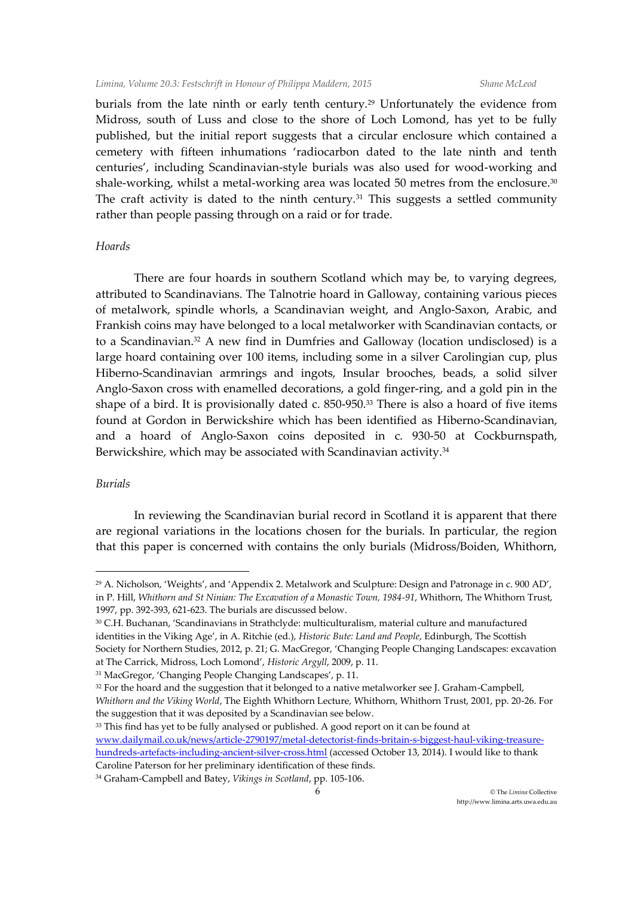burials from the late ninth or early tenth century.<sup>29</sup> Unfortunately the evidence from Midross, south of Luss and close to the shore of Loch Lomond, has yet to be fully published, but the initial report suggests that a circular enclosure which contained a cemetery with fifteen inhumations 'radiocarbon dated to the late ninth and tenth centuries', including Scandinavian-style burials was also used for wood-working and shale-working, whilst a metal-working area was located 50 metres from the enclosure.<sup>30</sup> The craft activity is dated to the ninth century.<sup>31</sup> This suggests a settled community rather than people passing through on a raid or for trade.

## *Hoards*

There are four hoards in southern Scotland which may be, to varying degrees, attributed to Scandinavians. The Talnotrie hoard in Galloway, containing various pieces of metalwork, spindle whorls, a Scandinavian weight, and Anglo-Saxon, Arabic, and Frankish coins may have belonged to a local metalworker with Scandinavian contacts, or to a Scandinavian.<sup>32</sup> A new find in Dumfries and Galloway (location undisclosed) is a large hoard containing over 100 items, including some in a silver Carolingian cup, plus Hiberno-Scandinavian armrings and ingots, Insular brooches, beads, a solid silver Anglo-Saxon cross with enamelled decorations, a gold finger-ring, and a gold pin in the shape of a bird. It is provisionally dated c. 850-950.<sup>33</sup> There is also a hoard of five items found at Gordon in Berwickshire which has been identified as Hiberno-Scandinavian, and a hoard of Anglo-Saxon coins deposited in c. 930-50 at Cockburnspath, Berwickshire, which may be associated with Scandinavian activity.<sup>34</sup>

## *Burials*

 $\overline{a}$ 

In reviewing the Scandinavian burial record in Scotland it is apparent that there are regional variations in the locations chosen for the burials. In particular, the region that this paper is concerned with contains the only burials (Midross/Boiden, Whithorn,

<sup>33</sup> This find has yet to be fully analysed or published. A good report on it can be found at [www.dailymail.co.uk/news/article-2790197/metal-detectorist-finds-britain-s-biggest-haul-viking-treasure](http://www.dailymail.co.uk/news/article-2790197/metal-detectorist-finds-britain-s-biggest-haul-viking-treasure-hundreds-artefacts-including-ancient-silver-cross.html)[hundreds-artefacts-including-ancient-silver-cross.html](http://www.dailymail.co.uk/news/article-2790197/metal-detectorist-finds-britain-s-biggest-haul-viking-treasure-hundreds-artefacts-including-ancient-silver-cross.html) (accessed October 13, 2014). I would like to thank Caroline Paterson for her preliminary identification of these finds.

<sup>29</sup> A. Nicholson, 'Weights', and 'Appendix 2. Metalwork and Sculpture: Design and Patronage in c. 900 AD', in P. Hill, *Whithorn and St Ninian: The Excavation of a Monastic Town, 1984-91*, Whithorn, The Whithorn Trust, 1997, pp. 392-393, 621-623. The burials are discussed below.

<sup>30</sup> C.H. Buchanan, 'Scandinavians in Strathclyde: multiculturalism, material culture and manufactured identities in the Viking Age', in A. Ritchie (ed.), *Historic Bute: Land and People*, Edinburgh, The Scottish Society for Northern Studies, 2012, p. 21; G. MacGregor, 'Changing People Changing Landscapes: excavation at The Carrick, Midross, Loch Lomond', *Historic Argyll*, 2009, p. 11.

<sup>31</sup> MacGregor, 'Changing People Changing Landscapes', p. 11.

<sup>&</sup>lt;sup>32</sup> For the hoard and the suggestion that it belonged to a native metalworker see J. Graham-Campbell, *Whithorn and the Viking World*, The Eighth Whithorn Lecture*,* Whithorn, Whithorn Trust, 2001, pp. 20-26. For the suggestion that it was deposited by a Scandinavian see below.

<sup>34</sup> Graham-Campbell and Batey, *Vikings in Scotland*, pp. 105-106.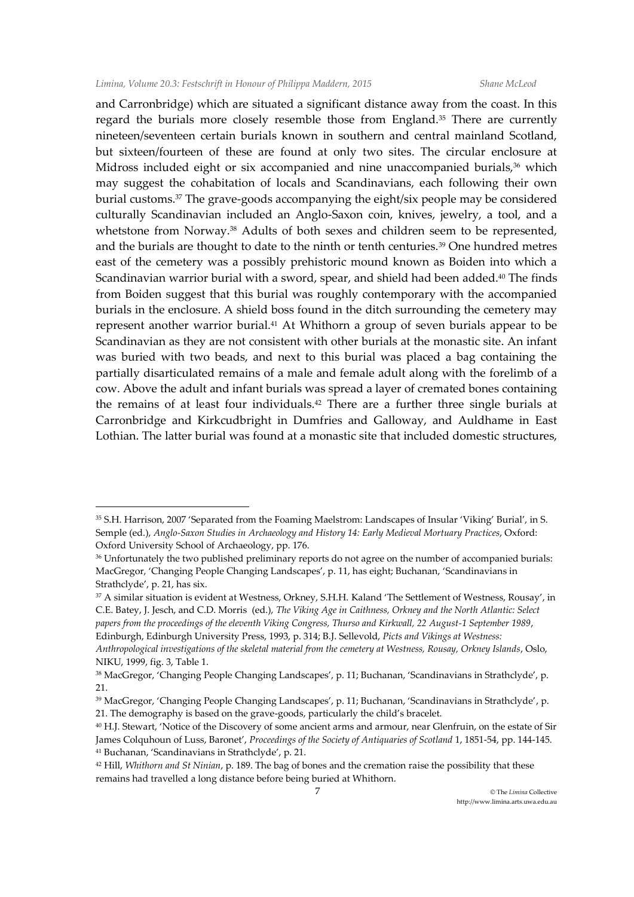$\ddot{\phantom{a}}$ 

and Carronbridge) which are situated a significant distance away from the coast. In this regard the burials more closely resemble those from England.<sup>35</sup> There are currently nineteen/seventeen certain burials known in southern and central mainland Scotland, but sixteen/fourteen of these are found at only two sites. The circular enclosure at Midross included eight or six accompanied and nine unaccompanied burials,<sup>36</sup> which may suggest the cohabitation of locals and Scandinavians, each following their own burial customs.<sup>37</sup> The grave-goods accompanying the eight/six people may be considered culturally Scandinavian included an Anglo-Saxon coin, knives, jewelry, a tool, and a whetstone from Norway.<sup>38</sup> Adults of both sexes and children seem to be represented, and the burials are thought to date to the ninth or tenth centuries.<sup>39</sup> One hundred metres east of the cemetery was a possibly prehistoric mound known as Boiden into which a Scandinavian warrior burial with a sword, spear, and shield had been added.<sup>40</sup> The finds from Boiden suggest that this burial was roughly contemporary with the accompanied burials in the enclosure. A shield boss found in the ditch surrounding the cemetery may represent another warrior burial.<sup>41</sup> At Whithorn a group of seven burials appear to be Scandinavian as they are not consistent with other burials at the monastic site. An infant was buried with two beads, and next to this burial was placed a bag containing the partially disarticulated remains of a male and female adult along with the forelimb of a cow. Above the adult and infant burials was spread a layer of cremated bones containing the remains of at least four individuals.<sup>42</sup> There are a further three single burials at Carronbridge and Kirkcudbright in Dumfries and Galloway, and Auldhame in East Lothian. The latter burial was found at a monastic site that included domestic structures,

<sup>35</sup> S.H. Harrison, 2007 'Separated from the Foaming Maelstrom: Landscapes of Insular 'Viking' Burial', in S. Semple (ed.), *Anglo-Saxon Studies in Archaeology and History 14: Early Medieval Mortuary Practices*, Oxford: Oxford University School of Archaeology, pp. 176.

<sup>36</sup> Unfortunately the two published preliminary reports do not agree on the number of accompanied burials: MacGregor, 'Changing People Changing Landscapes', p. 11, has eight; Buchanan, 'Scandinavians in Strathclyde', p. 21, has six.

<sup>37</sup> A similar situation is evident at Westness, Orkney, S.H.H. Kaland 'The Settlement of Westness, Rousay', in C.E. Batey, J. Jesch, and C.D. Morris (ed.), *The Viking Age in Caithness, Orkney and the North Atlantic: Select papers from the proceedings of the eleventh Viking Congress, Thurso and Kirkwall, 22 August-1 September 1989*, Edinburgh, Edinburgh University Press, 1993, p. 314; B.J. Sellevold, *Picts and Vikings at Westness:*

*Anthropological investigations of the skeletal material from the cemetery at Westness, Rousay, Orkney Islands*, Oslo, NIKU, 1999, fig. 3, Table 1.

<sup>38</sup> MacGregor, 'Changing People Changing Landscapes', p. 11; Buchanan, 'Scandinavians in Strathclyde', p. 21.

<sup>39</sup> MacGregor, 'Changing People Changing Landscapes', p. 11; Buchanan, 'Scandinavians in Strathclyde', p. 21. The demography is based on the grave-goods, particularly the child's bracelet.

<sup>40</sup> H.J. Stewart, 'Notice of the Discovery of some ancient arms and armour, near Glenfruin, on the estate of Sir James Colquhoun of Luss, Baronet', *Proceedings of the Society of Antiquaries of Scotland* 1, 1851-54, pp. 144-145. <sup>41</sup> Buchanan, 'Scandinavians in Strathclyde', p. 21.

<sup>42</sup> Hill, *Whithorn and St Ninian*, p. 189. The bag of bones and the cremation raise the possibility that these remains had travelled a long distance before being buried at Whithorn.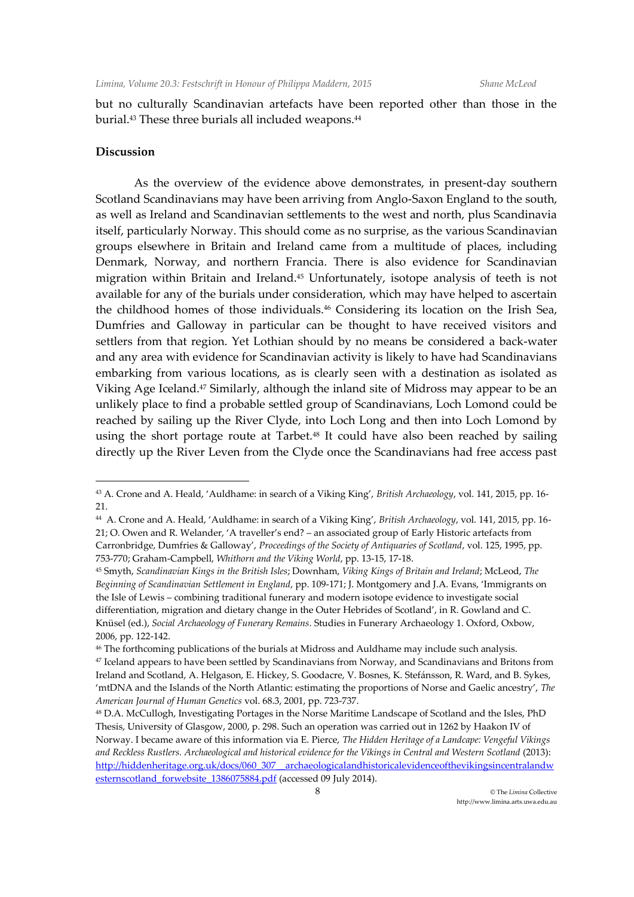but no culturally Scandinavian artefacts have been reported other than those in the burial.<sup>43</sup> These three burials all included weapons.<sup>44</sup>

## **Discussion**

 $\ddot{\phantom{a}}$ 

As the overview of the evidence above demonstrates, in present-day southern Scotland Scandinavians may have been arriving from Anglo-Saxon England to the south, as well as Ireland and Scandinavian settlements to the west and north, plus Scandinavia itself, particularly Norway. This should come as no surprise, as the various Scandinavian groups elsewhere in Britain and Ireland came from a multitude of places, including Denmark, Norway, and northern Francia. There is also evidence for Scandinavian migration within Britain and Ireland.<sup>45</sup> Unfortunately, isotope analysis of teeth is not available for any of the burials under consideration, which may have helped to ascertain the childhood homes of those individuals.<sup>46</sup> Considering its location on the Irish Sea, Dumfries and Galloway in particular can be thought to have received visitors and settlers from that region. Yet Lothian should by no means be considered a back-water and any area with evidence for Scandinavian activity is likely to have had Scandinavians embarking from various locations, as is clearly seen with a destination as isolated as Viking Age Iceland.<sup>47</sup> Similarly, although the inland site of Midross may appear to be an unlikely place to find a probable settled group of Scandinavians, Loch Lomond could be reached by sailing up the River Clyde, into Loch Long and then into Loch Lomond by using the short portage route at Tarbet.<sup>48</sup> It could have also been reached by sailing directly up the River Leven from the Clyde once the Scandinavians had free access past

<sup>43</sup> A. Crone and A. Heald, 'Auldhame: in search of a Viking King', *British Archaeology*, vol. 141, 2015, pp. 16- 21.

<sup>44</sup> A. Crone and A. Heald, 'Auldhame: in search of a Viking King', *British Archaeology*, vol. 141, 2015, pp. 16- 21; O. Owen and R. Welander, 'A traveller's end? – an associated group of Early Historic artefacts from Carronbridge, Dumfries & Galloway', *Proceedings of the Society of Antiquaries of Scotland*, vol. 125, 1995, pp. 753-770; Graham-Campbell, *Whithorn and the Viking World*, pp. 13-15, 17-18.

<sup>45</sup> Smyth, *Scandinavian Kings in the British Isles*; Downham, *Viking Kings of Britain and Ireland*; McLeod, *The Beginning of Scandinavian Settlement in England*, pp. 109-171; J. Montgomery and J.A. Evans, 'Immigrants on the Isle of Lewis – combining traditional funerary and modern isotope evidence to investigate social differentiation, migration and dietary change in the Outer Hebrides of Scotland', in R. Gowland and C. Knüsel (ed.), *Social Archaeology of Funerary Remains*. Studies in Funerary Archaeology 1. Oxford, Oxbow, 2006, pp. 122-142.

<sup>46</sup> The forthcoming publications of the burials at Midross and Auldhame may include such analysis.

<sup>47</sup> Iceland appears to have been settled by Scandinavians from Norway, and Scandinavians and Britons from Ireland and Scotland, A. Helgason, E. Hickey, S. Goodacre, V. Bosnes, K. Stefánsson, R. Ward, and B. Sykes, 'mtDNA and the Islands of the North Atlantic: estimating the proportions of Norse and Gaelic ancestry', *The American Journal of Human Genetics* vol. 68.3, 2001, pp. 723-737.

<sup>48</sup> D.A. McCullogh, Investigating Portages in the Norse Maritime Landscape of Scotland and the Isles, PhD Thesis, University of Glasgow, 2000, p. 298. Such an operation was carried out in 1262 by Haakon IV of Norway. I became aware of this information via E. Pierce, *The Hidden Heritage of a Landcape: Vengeful Vikings and Reckless Rustlers. Archaeological and historical evidence for the Vikings in Central and Western Scotland* (2013): [http://hiddenheritage.org.uk/docs/060\\_307\\_\\_archaeologicalandhistoricalevidenceofthevikingsincentralandw](http://hiddenheritage.org.uk/docs/060_307__archaeologicalandhistoricalevidenceofthevikingsincentralandwesternscotland_forwebsite_1386075884.pdf) [esternscotland\\_forwebsite\\_1386075884.pdf](http://hiddenheritage.org.uk/docs/060_307__archaeologicalandhistoricalevidenceofthevikingsincentralandwesternscotland_forwebsite_1386075884.pdf) (accessed 09 July 2014).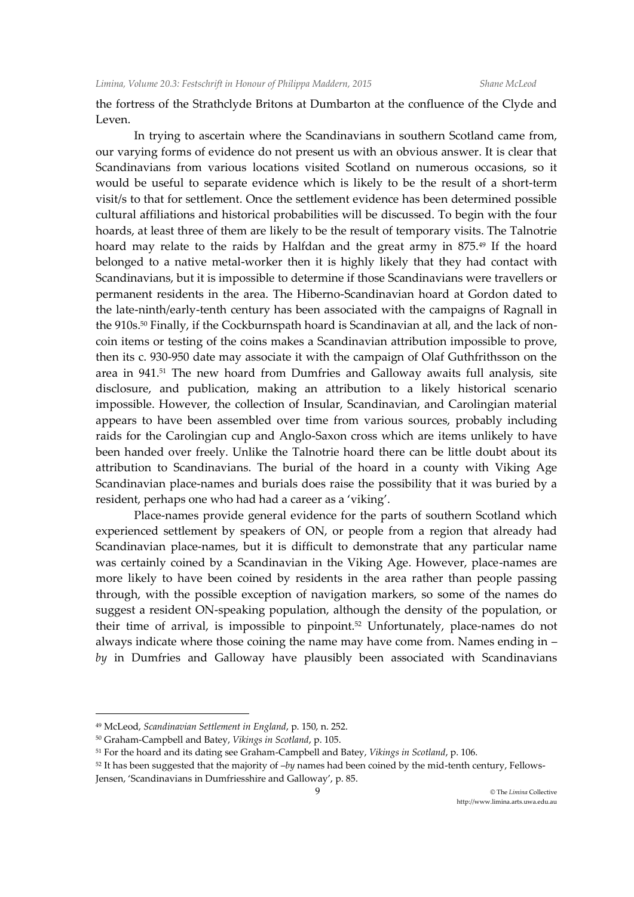the fortress of the Strathclyde Britons at Dumbarton at the confluence of the Clyde and Leven.

In trying to ascertain where the Scandinavians in southern Scotland came from, our varying forms of evidence do not present us with an obvious answer. It is clear that Scandinavians from various locations visited Scotland on numerous occasions, so it would be useful to separate evidence which is likely to be the result of a short-term visit/s to that for settlement. Once the settlement evidence has been determined possible cultural affiliations and historical probabilities will be discussed. To begin with the four hoards, at least three of them are likely to be the result of temporary visits. The Talnotrie hoard may relate to the raids by Halfdan and the great army in 875.<sup>49</sup> If the hoard belonged to a native metal-worker then it is highly likely that they had contact with Scandinavians, but it is impossible to determine if those Scandinavians were travellers or permanent residents in the area. The Hiberno-Scandinavian hoard at Gordon dated to the late-ninth/early-tenth century has been associated with the campaigns of Ragnall in the 910s.<sup>50</sup> Finally, if the Cockburnspath hoard is Scandinavian at all, and the lack of noncoin items or testing of the coins makes a Scandinavian attribution impossible to prove, then its c. 930-950 date may associate it with the campaign of Olaf Guthfrithsson on the area in 941.<sup>51</sup> The new hoard from Dumfries and Galloway awaits full analysis, site disclosure, and publication, making an attribution to a likely historical scenario impossible. However, the collection of Insular, Scandinavian, and Carolingian material appears to have been assembled over time from various sources, probably including raids for the Carolingian cup and Anglo-Saxon cross which are items unlikely to have been handed over freely. Unlike the Talnotrie hoard there can be little doubt about its attribution to Scandinavians. The burial of the hoard in a county with Viking Age Scandinavian place-names and burials does raise the possibility that it was buried by a resident, perhaps one who had had a career as a 'viking'.

Place-names provide general evidence for the parts of southern Scotland which experienced settlement by speakers of ON, or people from a region that already had Scandinavian place-names, but it is difficult to demonstrate that any particular name was certainly coined by a Scandinavian in the Viking Age. However, place-names are more likely to have been coined by residents in the area rather than people passing through, with the possible exception of navigation markers, so some of the names do suggest a resident ON-speaking population, although the density of the population, or their time of arrival, is impossible to pinpoint.<sup>52</sup> Unfortunately, place-names do not always indicate where those coining the name may have come from. Names ending in – *by* in Dumfries and Galloway have plausibly been associated with Scandinavians

<sup>49</sup> McLeod, *Scandinavian Settlement in England*, p. 150, n. 252.

<sup>50</sup> Graham-Campbell and Batey, *Vikings in Scotland*, p. 105.

<sup>51</sup> For the hoard and its dating see Graham-Campbell and Batey, *Vikings in Scotland*, p. 106.

<sup>52</sup> It has been suggested that the majority of –*by* names had been coined by the mid-tenth century, Fellows-Jensen, 'Scandinavians in Dumfriesshire and Galloway', p. 85.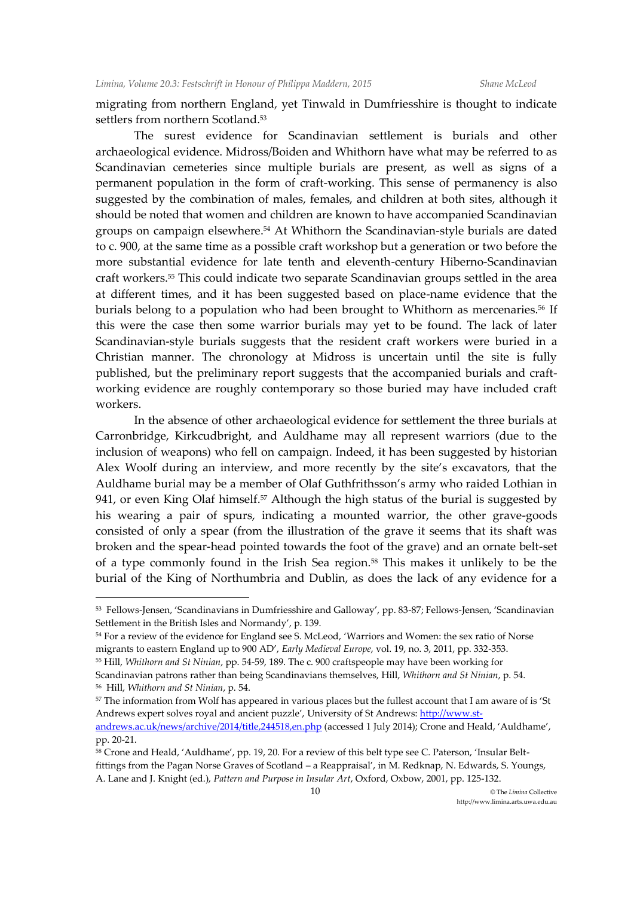migrating from northern England, yet Tinwald in Dumfriesshire is thought to indicate settlers from northern Scotland.<sup>53</sup>

The surest evidence for Scandinavian settlement is burials and other archaeological evidence. Midross/Boiden and Whithorn have what may be referred to as Scandinavian cemeteries since multiple burials are present, as well as signs of a permanent population in the form of craft-working. This sense of permanency is also suggested by the combination of males, females, and children at both sites, although it should be noted that women and children are known to have accompanied Scandinavian groups on campaign elsewhere.<sup>54</sup> At Whithorn the Scandinavian-style burials are dated to c. 900, at the same time as a possible craft workshop but a generation or two before the more substantial evidence for late tenth and eleventh-century Hiberno-Scandinavian craft workers.<sup>55</sup> This could indicate two separate Scandinavian groups settled in the area at different times, and it has been suggested based on place-name evidence that the burials belong to a population who had been brought to Whithorn as mercenaries.<sup>56</sup> If this were the case then some warrior burials may yet to be found. The lack of later Scandinavian-style burials suggests that the resident craft workers were buried in a Christian manner. The chronology at Midross is uncertain until the site is fully published, but the preliminary report suggests that the accompanied burials and craftworking evidence are roughly contemporary so those buried may have included craft workers.

In the absence of other archaeological evidence for settlement the three burials at Carronbridge, Kirkcudbright, and Auldhame may all represent warriors (due to the inclusion of weapons) who fell on campaign. Indeed, it has been suggested by historian Alex Woolf during an interview, and more recently by the site's excavators, that the Auldhame burial may be a member of Olaf Guthfrithsson's army who raided Lothian in 941, or even King Olaf himself.<sup>57</sup> Although the high status of the burial is suggested by his wearing a pair of spurs, indicating a mounted warrior, the other grave-goods consisted of only a spear (from the illustration of the grave it seems that its shaft was broken and the spear-head pointed towards the foot of the grave) and an ornate belt-set of a type commonly found in the Irish Sea region.<sup>58</sup> This makes it unlikely to be the burial of the King of Northumbria and Dublin, as does the lack of any evidence for a

 $^{\text{\tiny{53}}}$  Fellows-Jensen, 'Scandinavians in Dumfriesshire and Galloway', pp. 83-87; Fellows-Jensen, 'Scandinavian Settlement in the British Isles and Normandy', p. 139.

<sup>54</sup> For a review of the evidence for England see S. McLeod, 'Warriors and Women: the sex ratio of Norse migrants to eastern England up to 900 AD', *Early Medieval Europe*, vol. 19, no. 3, 2011, pp. 332-353.

<sup>55</sup> Hill, *Whithorn and St Ninian*, pp. 54-59, 189. The c. 900 craftspeople may have been working for

Scandinavian patrons rather than being Scandinavians themselves, Hill, *Whithorn and St Ninian*, p. 54. 56 Hill, *Whithorn and St Ninian*, p. 54.

<sup>57</sup> The information from Wolf has appeared in various places but the fullest account that I am aware of is 'St Andrews expert solves royal and ancient puzzle', University of St Andrews[: http://www.st-](http://www.st-andrews.ac.uk/news/archive/2014/title,244518,en.php)

[andrews.ac.uk/news/archive/2014/title,244518,en.php](http://www.st-andrews.ac.uk/news/archive/2014/title,244518,en.php) (accessed 1 July 2014); Crone and Heald, 'Auldhame', pp. 20-21.

<sup>&</sup>lt;sup>58</sup> Crone and Heald, 'Auldhame', pp. 19, 20. For a review of this belt type see C. Paterson, 'Insular Beltfittings from the Pagan Norse Graves of Scotland – a Reappraisal', in M. Redknap, N. Edwards, S. Youngs, A. Lane and J. Knight (ed.), *Pattern and Purpose in Insular Art*, Oxford, Oxbow, 2001, pp. 125-132.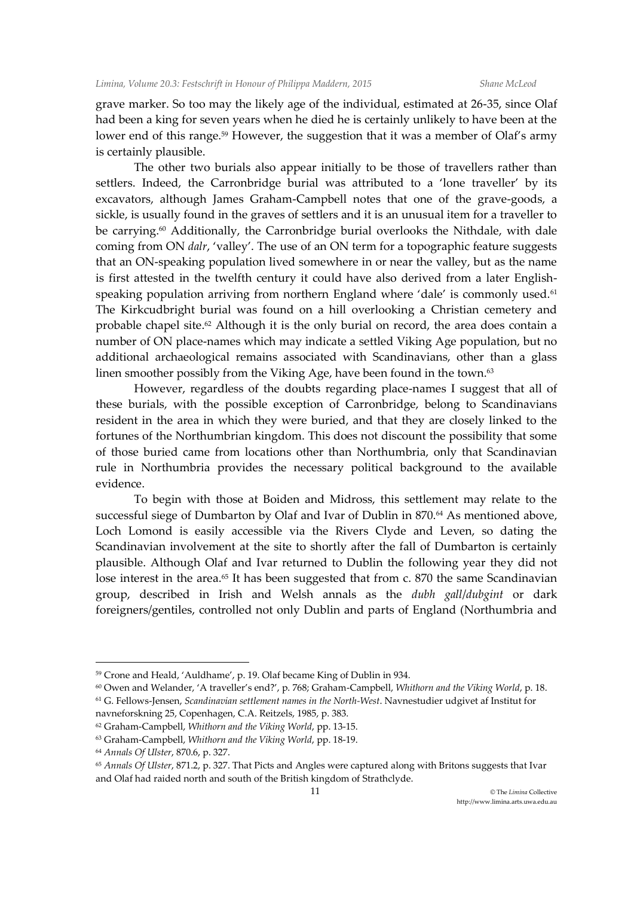grave marker. So too may the likely age of the individual, estimated at 26-35, since Olaf had been a king for seven years when he died he is certainly unlikely to have been at the lower end of this range.<sup>59</sup> However, the suggestion that it was a member of Olaf's army is certainly plausible.

The other two burials also appear initially to be those of travellers rather than settlers. Indeed, the Carronbridge burial was attributed to a 'lone traveller' by its excavators, although James Graham-Campbell notes that one of the grave-goods, a sickle, is usually found in the graves of settlers and it is an unusual item for a traveller to be carrying.<sup>60</sup> Additionally, the Carronbridge burial overlooks the Nithdale, with dale coming from ON *dalr*, 'valley'. The use of an ON term for a topographic feature suggests that an ON-speaking population lived somewhere in or near the valley, but as the name is first attested in the twelfth century it could have also derived from a later Englishspeaking population arriving from northern England where 'dale' is commonly used.<sup>61</sup> The Kirkcudbright burial was found on a hill overlooking a Christian cemetery and probable chapel site.<sup>62</sup> Although it is the only burial on record, the area does contain a number of ON place-names which may indicate a settled Viking Age population, but no additional archaeological remains associated with Scandinavians, other than a glass linen smoother possibly from the Viking Age, have been found in the town.<sup>63</sup>

However, regardless of the doubts regarding place-names I suggest that all of these burials, with the possible exception of Carronbridge, belong to Scandinavians resident in the area in which they were buried, and that they are closely linked to the fortunes of the Northumbrian kingdom. This does not discount the possibility that some of those buried came from locations other than Northumbria, only that Scandinavian rule in Northumbria provides the necessary political background to the available evidence.

To begin with those at Boiden and Midross, this settlement may relate to the successful siege of Dumbarton by Olaf and Ivar of Dublin in 870.<sup>64</sup> As mentioned above, Loch Lomond is easily accessible via the Rivers Clyde and Leven, so dating the Scandinavian involvement at the site to shortly after the fall of Dumbarton is certainly plausible. Although Olaf and Ivar returned to Dublin the following year they did not lose interest in the area.<sup>65</sup> It has been suggested that from c. 870 the same Scandinavian group, described in Irish and Welsh annals as the *dubh gall*/*dubgint* or dark foreigners/gentiles, controlled not only Dublin and parts of England (Northumbria and

<sup>59</sup> Crone and Heald, 'Auldhame', p. 19. Olaf became King of Dublin in 934.

<sup>60</sup> Owen and Welander, 'A traveller's end?', p. 768; Graham-Campbell, *Whithorn and the Viking World*, p. 18. <sup>61</sup> G. Fellows-Jensen, *Scandinavian settlement names in the North-West*. Navnestudier udgivet af Institut for

navneforskning 25, Copenhagen, C.A. Reitzels, 1985, p. 383.

<sup>62</sup> Graham-Campbell, *Whithorn and the Viking World*, pp. 13-15.

<sup>63</sup> Graham-Campbell, *Whithorn and the Viking World*, pp. 18-19.

<sup>64</sup> *Annals Of Ulster*, 870.6, p. 327.

<sup>65</sup> *Annals Of Ulster*, 871.2, p. 327. That Picts and Angles were captured along with Britons suggests that Ivar and Olaf had raided north and south of the British kingdom of Strathclyde.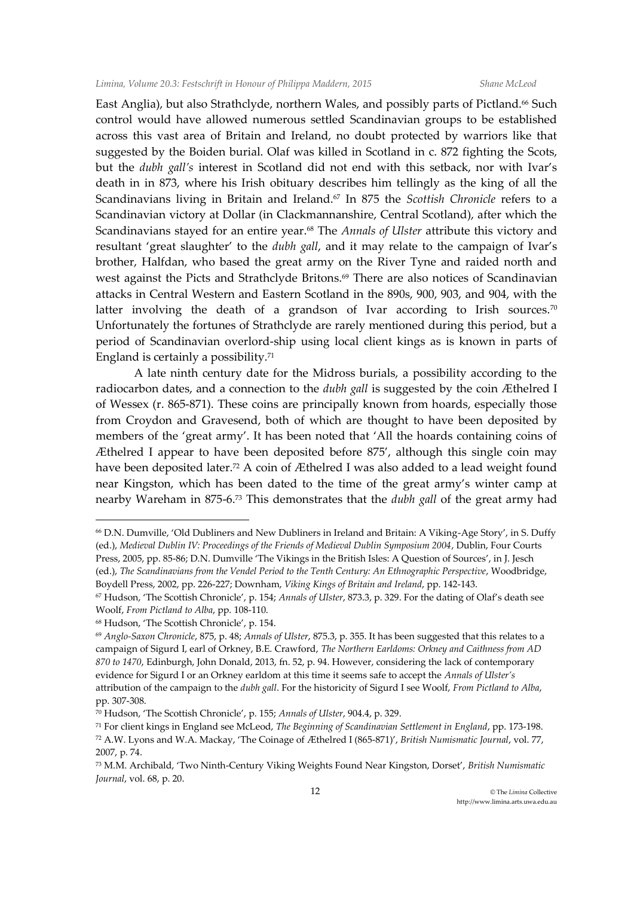East Anglia), but also Strathclyde, northern Wales, and possibly parts of Pictland.<sup>66</sup> Such control would have allowed numerous settled Scandinavian groups to be established across this vast area of Britain and Ireland, no doubt protected by warriors like that suggested by the Boiden burial. Olaf was killed in Scotland in c. 872 fighting the Scots, but the *dubh gall's* interest in Scotland did not end with this setback, nor with Ivar's death in in 873, where his Irish obituary describes him tellingly as the king of all the Scandinavians living in Britain and Ireland.<sup>67</sup> In 875 the *Scottish Chronicle* refers to a Scandinavian victory at Dollar (in Clackmannanshire, Central Scotland), after which the Scandinavians stayed for an entire year.<sup>68</sup> The *Annals of Ulster* attribute this victory and resultant 'great slaughter' to the *dubh gall*, and it may relate to the campaign of Ivar's brother, Halfdan, who based the great army on the River Tyne and raided north and west against the Picts and Strathclyde Britons.<sup>69</sup> There are also notices of Scandinavian attacks in Central Western and Eastern Scotland in the 890s, 900, 903, and 904, with the latter involving the death of a grandson of Ivar according to Irish sources.<sup>70</sup> Unfortunately the fortunes of Strathclyde are rarely mentioned during this period, but a period of Scandinavian overlord-ship using local client kings as is known in parts of England is certainly a possibility.<sup>71</sup>

A late ninth century date for the Midross burials, a possibility according to the radiocarbon dates, and a connection to the *dubh gall* is suggested by the coin Æthelred I of Wessex (r. 865-871). These coins are principally known from hoards, especially those from Croydon and Gravesend, both of which are thought to have been deposited by members of the 'great army'. It has been noted that 'All the hoards containing coins of Æthelred I appear to have been deposited before 875', although this single coin may have been deposited later.<sup>72</sup> A coin of Æthelred I was also added to a lead weight found near Kingston, which has been dated to the time of the great army's winter camp at nearby Wareham in 875-6.<sup>73</sup> This demonstrates that the *dubh gall* of the great army had

<sup>66</sup> D.N. Dumville, 'Old Dubliners and New Dubliners in Ireland and Britain: A Viking-Age Story', in S. Duffy (ed.), *Medieval Dublin IV: Proceedings of the Friends of Medieval Dublin Symposium 2004*, Dublin, Four Courts Press, 2005, pp. 85-86; D.N. Dumville 'The Vikings in the British Isles: A Question of Sources', in J. Jesch (ed.), *The Scandinavians from the Vendel Period to the Tenth Century: An Ethnographic Perspective*, Woodbridge, Boydell Press, 2002, pp. 226-227; Downham, *Viking Kings of Britain and Ireland*, pp. 142-143.

<sup>67</sup> Hudson, 'The Scottish Chronicle', p. 154; *Annals of Ulster*, 873.3, p. 329. For the dating of Olaf's death see Woolf, *From Pictland to Alba*, pp. 108-110.

<sup>68</sup> Hudson, 'The Scottish Chronicle', p. 154.

<sup>69</sup> *Anglo-Saxon Chronicle*, 875, p. 48; *Annals of Ulster*, 875.3, p. 355. It has been suggested that this relates to a campaign of Sigurd I, earl of Orkney, B.E. Crawford, *The Northern Earldoms: Orkney and Caithness from AD 870 to 1470*, Edinburgh, John Donald, 2013, fn. 52, p. 94. However, considering the lack of contemporary evidence for Sigurd I or an Orkney earldom at this time it seems safe to accept the *Annals of Ulster's*  attribution of the campaign to the *dubh gall*. For the historicity of Sigurd I see Woolf, *From Pictland to Alba*, pp. 307-308.

<sup>70</sup> Hudson, 'The Scottish Chronicle', p. 155; *Annals of Ulster*, 904.4, p. 329.

<sup>71</sup> For client kings in England see McLeod, *The Beginning of Scandinavian Settlement in England*, pp. 173-198. <sup>72</sup> A.W. Lyons and W.A. Mackay, 'The Coinage of Æthelred I (865-871)', *British Numismatic Journal*, vol. 77, 2007, p. 74.

<sup>73</sup> M.M. Archibald, 'Two Ninth-Century Viking Weights Found Near Kingston, Dorset', *British Numismatic Journal*, vol. 68, p. 20.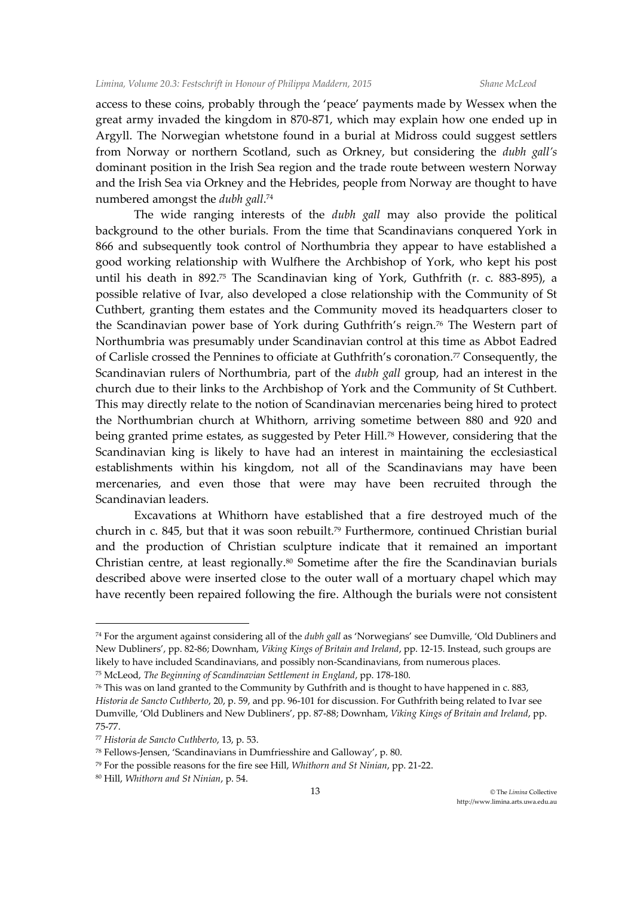access to these coins, probably through the 'peace' payments made by Wessex when the great army invaded the kingdom in 870-871, which may explain how one ended up in Argyll. The Norwegian whetstone found in a burial at Midross could suggest settlers from Norway or northern Scotland, such as Orkney, but considering the *dubh gall's*  dominant position in the Irish Sea region and the trade route between western Norway and the Irish Sea via Orkney and the Hebrides, people from Norway are thought to have numbered amongst the *dubh gall*. 74

The wide ranging interests of the *dubh gall* may also provide the political background to the other burials. From the time that Scandinavians conquered York in 866 and subsequently took control of Northumbria they appear to have established a good working relationship with Wulfhere the Archbishop of York, who kept his post until his death in 892. <sup>75</sup> The Scandinavian king of York, Guthfrith (r. c. 883-895), a possible relative of Ivar, also developed a close relationship with the Community of St Cuthbert, granting them estates and the Community moved its headquarters closer to the Scandinavian power base of York during Guthfrith's reign.<sup>76</sup> The Western part of Northumbria was presumably under Scandinavian control at this time as Abbot Eadred of Carlisle crossed the Pennines to officiate at Guthfrith's coronation.<sup>77</sup> Consequently, the Scandinavian rulers of Northumbria, part of the *dubh gall* group, had an interest in the church due to their links to the Archbishop of York and the Community of St Cuthbert. This may directly relate to the notion of Scandinavian mercenaries being hired to protect the Northumbrian church at Whithorn, arriving sometime between 880 and 920 and being granted prime estates, as suggested by Peter Hill.<sup>78</sup> However, considering that the Scandinavian king is likely to have had an interest in maintaining the ecclesiastical establishments within his kingdom, not all of the Scandinavians may have been mercenaries, and even those that were may have been recruited through the Scandinavian leaders.

Excavations at Whithorn have established that a fire destroyed much of the church in c. 845, but that it was soon rebuilt.<sup>79</sup> Furthermore, continued Christian burial and the production of Christian sculpture indicate that it remained an important Christian centre, at least regionally.<sup>80</sup> Sometime after the fire the Scandinavian burials described above were inserted close to the outer wall of a mortuary chapel which may have recently been repaired following the fire. Although the burials were not consistent

<sup>74</sup> For the argument against considering all of the *dubh gall* as 'Norwegians' see Dumville, 'Old Dubliners and New Dubliners', pp. 82-86; Downham, *Viking Kings of Britain and Ireland*, pp. 12-15. Instead, such groups are likely to have included Scandinavians, and possibly non-Scandinavians, from numerous places.

<sup>75</sup> McLeod, *The Beginning of Scandinavian Settlement in England*, pp. 178-180.

<sup>76</sup> This was on land granted to the Community by Guthfrith and is thought to have happened in c. 883, *Historia de Sancto Cuthberto*, 20, p. 59, and pp. 96-101 for discussion. For Guthfrith being related to Ivar see Dumville, 'Old Dubliners and New Dubliners', pp. 87-88; Downham, *Viking Kings of Britain and Ireland*, pp. 75-77.

<sup>77</sup> *Historia de Sancto Cuthberto*, 13, p. 53.

<sup>78</sup> Fellows-Jensen, 'Scandinavians in Dumfriesshire and Galloway', p. 80.

<sup>79</sup> For the possible reasons for the fire see Hill, *Whithorn and St Ninian*, pp. 21-22.

<sup>80</sup> Hill, *Whithorn and St Ninian*, p. 54.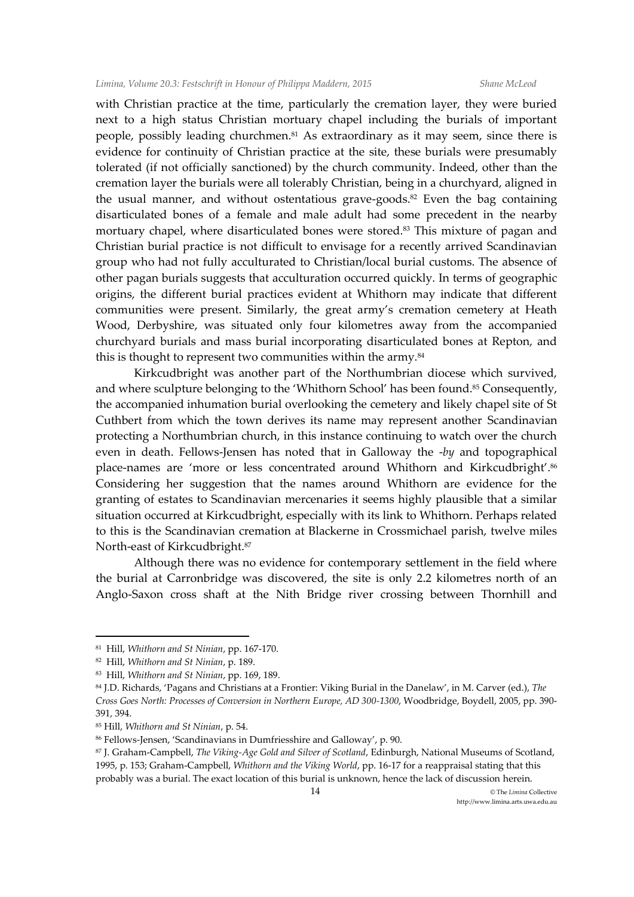with Christian practice at the time, particularly the cremation layer, they were buried next to a high status Christian mortuary chapel including the burials of important people, possibly leading churchmen.<sup>81</sup> As extraordinary as it may seem, since there is evidence for continuity of Christian practice at the site, these burials were presumably tolerated (if not officially sanctioned) by the church community. Indeed, other than the cremation layer the burials were all tolerably Christian, being in a churchyard, aligned in the usual manner, and without ostentatious grave-goods. $82$  Even the bag containing disarticulated bones of a female and male adult had some precedent in the nearby mortuary chapel, where disarticulated bones were stored.<sup>83</sup> This mixture of pagan and Christian burial practice is not difficult to envisage for a recently arrived Scandinavian group who had not fully acculturated to Christian/local burial customs. The absence of other pagan burials suggests that acculturation occurred quickly. In terms of geographic origins, the different burial practices evident at Whithorn may indicate that different communities were present. Similarly, the great army's cremation cemetery at Heath Wood, Derbyshire, was situated only four kilometres away from the accompanied churchyard burials and mass burial incorporating disarticulated bones at Repton, and this is thought to represent two communities within the army.<sup>84</sup>

Kirkcudbright was another part of the Northumbrian diocese which survived, and where sculpture belonging to the 'Whithorn School' has been found.<sup>85</sup> Consequently, the accompanied inhumation burial overlooking the cemetery and likely chapel site of St Cuthbert from which the town derives its name may represent another Scandinavian protecting a Northumbrian church, in this instance continuing to watch over the church even in death. Fellows-Jensen has noted that in Galloway the -*by* and topographical place-names are 'more or less concentrated around Whithorn and Kirkcudbright'.<sup>86</sup> Considering her suggestion that the names around Whithorn are evidence for the granting of estates to Scandinavian mercenaries it seems highly plausible that a similar situation occurred at Kirkcudbright, especially with its link to Whithorn. Perhaps related to this is the Scandinavian cremation at Blackerne in Crossmichael parish, twelve miles North-east of Kirkcudbright.<sup>87</sup>

Although there was no evidence for contemporary settlement in the field where the burial at Carronbridge was discovered, the site is only 2.2 kilometres north of an Anglo-Saxon cross shaft at the Nith Bridge river crossing between Thornhill and

<sup>81</sup> Hill, *Whithorn and St Ninian*, pp. 167-170.

<sup>82</sup> Hill, *Whithorn and St Ninian*, p. 189.

<sup>83</sup> Hill, *Whithorn and St Ninian*, pp. 169, 189.

<sup>84</sup> J.D. Richards, 'Pagans and Christians at a Frontier: Viking Burial in the Danelaw', in M. Carver (ed.), *The Cross Goes North: Processes of Conversion in Northern Europe, AD 300-1300*, Woodbridge, Boydell, 2005, pp. 390- 391, 394.

<sup>85</sup> Hill, *Whithorn and St Ninian*, p. 54.

<sup>86</sup> Fellows-Jensen, 'Scandinavians in Dumfriesshire and Galloway', p. 90.

<sup>87</sup> J. Graham-Campbell, *The Viking-Age Gold and Silver of Scotland*, Edinburgh, National Museums of Scotland, 1995, p. 153; Graham-Campbell, *Whithorn and the Viking World*, pp. 16-17 for a reappraisal stating that this probably was a burial. The exact location of this burial is unknown, hence the lack of discussion herein.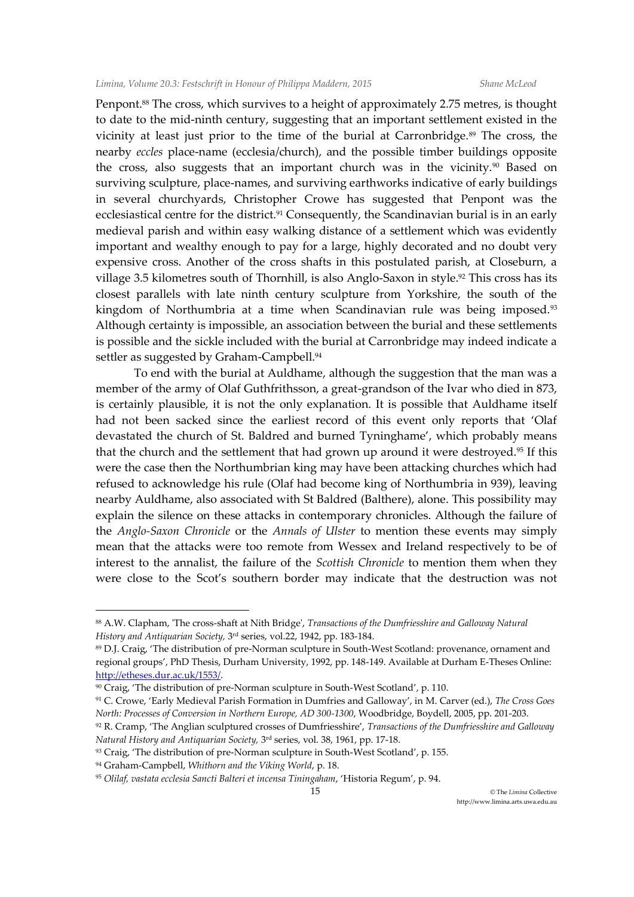Penpont.<sup>88</sup> The cross, which survives to a height of approximately 2.75 metres, is thought to date to the mid-ninth century, suggesting that an important settlement existed in the vicinity at least just prior to the time of the burial at Carronbridge.<sup>89</sup> The cross, the nearby *eccles* place-name (ecclesia/church), and the possible timber buildings opposite the cross, also suggests that an important church was in the vicinity.<sup>90</sup> Based on surviving sculpture, place-names, and surviving earthworks indicative of early buildings in several churchyards, Christopher Crowe has suggested that Penpont was the ecclesiastical centre for the district.<sup>91</sup> Consequently, the Scandinavian burial is in an early medieval parish and within easy walking distance of a settlement which was evidently important and wealthy enough to pay for a large, highly decorated and no doubt very expensive cross. Another of the cross shafts in this postulated parish, at Closeburn, a village 3.5 kilometres south of Thornhill, is also Anglo-Saxon in style.<sup>92</sup> This cross has its closest parallels with late ninth century sculpture from Yorkshire, the south of the kingdom of Northumbria at a time when Scandinavian rule was being imposed.<sup>93</sup> Although certainty is impossible, an association between the burial and these settlements is possible and the sickle included with the burial at Carronbridge may indeed indicate a settler as suggested by Graham-Campbell.<sup>94</sup>

To end with the burial at Auldhame, although the suggestion that the man was a member of the army of Olaf Guthfrithsson, a great-grandson of the Ivar who died in 873, is certainly plausible, it is not the only explanation. It is possible that Auldhame itself had not been sacked since the earliest record of this event only reports that 'Olaf devastated the church of St. Baldred and burned Tyninghame', which probably means that the church and the settlement that had grown up around it were destroyed.<sup>95</sup> If this were the case then the Northumbrian king may have been attacking churches which had refused to acknowledge his rule (Olaf had become king of Northumbria in 939), leaving nearby Auldhame, also associated with St Baldred (Balthere), alone. This possibility may explain the silence on these attacks in contemporary chronicles. Although the failure of the *Anglo-Saxon Chronicle* or the *Annals of Ulster* to mention these events may simply mean that the attacks were too remote from Wessex and Ireland respectively to be of interest to the annalist, the failure of the *Scottish Chronicle* to mention them when they were close to the Scot's southern border may indicate that the destruction was not

 $\ddot{\phantom{a}}$ 

<sup>88</sup> A.W. Clapham, 'The cross-shaft at Nith Bridge', *Transactions of the Dumfriesshire and Galloway Natural History and Antiquarian Society,* 3 rd series, vol.22, 1942, pp. 183-184.

<sup>89</sup> D.J. Craig, 'The distribution of pre-Norman sculpture in South-West Scotland: provenance, ornament and regional groups', PhD Thesis, Durham University, 1992, pp. 148-149. Available at Durham E-Theses Online: [http://etheses.dur.ac.uk/1553/.](http://etheses.dur.ac.uk/1553/)

<sup>90</sup> Craig, 'The distribution of pre-Norman sculpture in South-West Scotland', p. 110.

<sup>91</sup> C. Crowe, 'Early Medieval Parish Formation in Dumfries and Galloway', in M. Carver (ed.), *The Cross Goes North: Processes of Conversion in Northern Europe, AD 300-1300*, Woodbridge, Boydell, 2005, pp. 201-203.

<sup>92</sup> R. Cramp, 'The Anglian sculptured crosses of Dumfriesshire', *Transactions of the Dumfriesshire and Galloway Natural History and Antiquarian Society,* 3 rd series, vol. 38, 1961, pp. 17-18.

<sup>93</sup> Craig, 'The distribution of pre-Norman sculpture in South-West Scotland', p. 155.

<sup>94</sup> Graham-Campbell, *Whithorn and the Viking World*, p. 18.

<sup>95</sup> *Olilaf, vastata ecclesia Sancti Balteri et incensa Tiningaham*, 'Historia Regum', p. 94.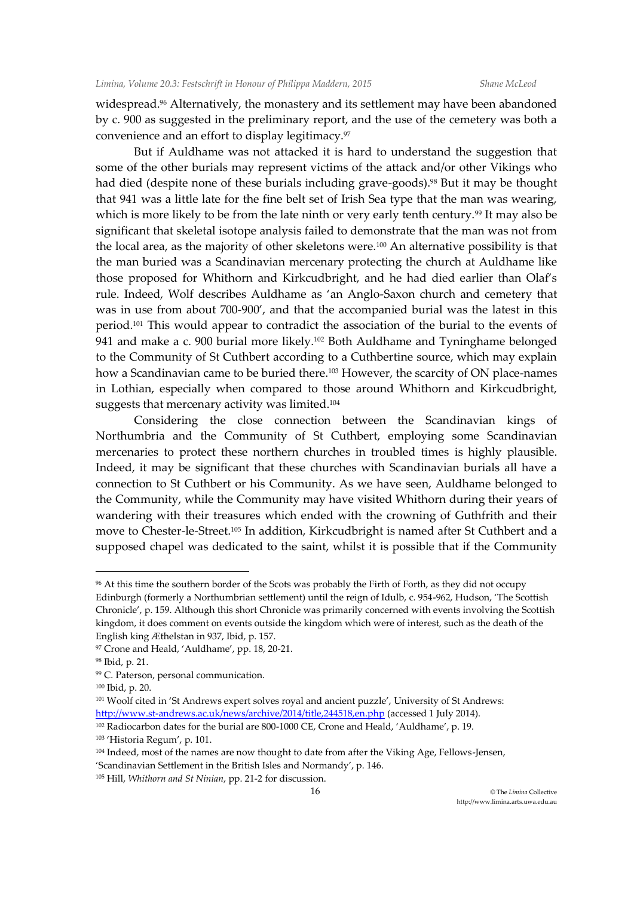widespread.<sup>96</sup> Alternatively, the monastery and its settlement may have been abandoned by c. 900 as suggested in the preliminary report, and the use of the cemetery was both a convenience and an effort to display legitimacy.<sup>97</sup>

But if Auldhame was not attacked it is hard to understand the suggestion that some of the other burials may represent victims of the attack and/or other Vikings who had died (despite none of these burials including grave-goods).<sup>98</sup> But it may be thought that 941 was a little late for the fine belt set of Irish Sea type that the man was wearing, which is more likely to be from the late ninth or very early tenth century.<sup>99</sup> It may also be significant that skeletal isotope analysis failed to demonstrate that the man was not from the local area, as the majority of other skeletons were.<sup>100</sup> An alternative possibility is that the man buried was a Scandinavian mercenary protecting the church at Auldhame like those proposed for Whithorn and Kirkcudbright, and he had died earlier than Olaf's rule. Indeed, Wolf describes Auldhame as 'an Anglo-Saxon church and cemetery that was in use from about 700-900', and that the accompanied burial was the latest in this period.<sup>101</sup> This would appear to contradict the association of the burial to the events of 941 and make a c. 900 burial more likely.<sup>102</sup> Both Auldhame and Tyninghame belonged to the Community of St Cuthbert according to a Cuthbertine source, which may explain how a Scandinavian came to be buried there.<sup>103</sup> However, the scarcity of ON place-names in Lothian, especially when compared to those around Whithorn and Kirkcudbright, suggests that mercenary activity was limited.<sup>104</sup>

Considering the close connection between the Scandinavian kings of Northumbria and the Community of St Cuthbert, employing some Scandinavian mercenaries to protect these northern churches in troubled times is highly plausible. Indeed, it may be significant that these churches with Scandinavian burials all have a connection to St Cuthbert or his Community. As we have seen, Auldhame belonged to the Community, while the Community may have visited Whithorn during their years of wandering with their treasures which ended with the crowning of Guthfrith and their move to Chester-le-Street.<sup>105</sup> In addition, Kirkcudbright is named after St Cuthbert and a supposed chapel was dedicated to the saint, whilst it is possible that if the Community

<sup>96</sup> At this time the southern border of the Scots was probably the Firth of Forth, as they did not occupy Edinburgh (formerly a Northumbrian settlement) until the reign of Idulb, c. 954-962, Hudson, 'The Scottish Chronicle', p. 159. Although this short Chronicle was primarily concerned with events involving the Scottish kingdom, it does comment on events outside the kingdom which were of interest, such as the death of the English king Æthelstan in 937, Ibid, p. 157.

<sup>97</sup> Crone and Heald, 'Auldhame', pp. 18, 20-21.

<sup>98</sup> Ibid, p. 21.

<sup>99</sup> C. Paterson, personal communication.

<sup>100</sup> Ibid, p. 20.

<sup>101</sup> Woolf cited in 'St Andrews expert solves royal and ancient puzzle', University of St Andrews: <http://www.st-andrews.ac.uk/news/archive/2014/title,244518,en.php> (accessed 1 July 2014).

<sup>&</sup>lt;sup>102</sup> Radiocarbon dates for the burial are 800-1000 CE, Crone and Heald, 'Auldhame', p. 19.

<sup>103</sup> 'Historia Regum', p. 101.

<sup>104</sup> Indeed, most of the names are now thought to date from after the Viking Age, Fellows-Jensen, 'Scandinavian Settlement in the British Isles and Normandy', p. 146.

<sup>105</sup> Hill, *Whithorn and St Ninian*, pp. 21-2 for discussion.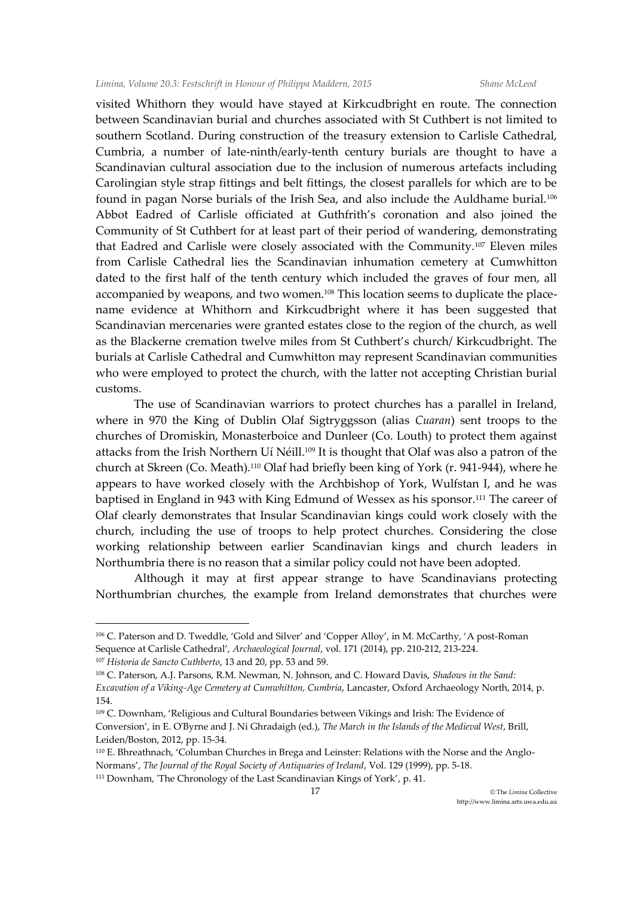visited Whithorn they would have stayed at Kirkcudbright en route. The connection between Scandinavian burial and churches associated with St Cuthbert is not limited to southern Scotland. During construction of the treasury extension to Carlisle Cathedral, Cumbria, a number of late-ninth/early-tenth century burials are thought to have a Scandinavian cultural association due to the inclusion of numerous artefacts including Carolingian style strap fittings and belt fittings, the closest parallels for which are to be found in pagan Norse burials of the Irish Sea, and also include the Auldhame burial.<sup>106</sup> Abbot Eadred of Carlisle officiated at Guthfrith's coronation and also joined the Community of St Cuthbert for at least part of their period of wandering, demonstrating that Eadred and Carlisle were closely associated with the Community.<sup>107</sup> Eleven miles from Carlisle Cathedral lies the Scandinavian inhumation cemetery at Cumwhitton dated to the first half of the tenth century which included the graves of four men, all accompanied by weapons, and two women.<sup>108</sup> This location seems to duplicate the placename evidence at Whithorn and Kirkcudbright where it has been suggested that Scandinavian mercenaries were granted estates close to the region of the church, as well as the Blackerne cremation twelve miles from St Cuthbert's church/ Kirkcudbright. The burials at Carlisle Cathedral and Cumwhitton may represent Scandinavian communities who were employed to protect the church, with the latter not accepting Christian burial customs.

The use of Scandinavian warriors to protect churches has a parallel in Ireland, where in 970 the King of Dublin Olaf Sigtryggsson (alias *Cuaran*) sent troops to the churches of Dromiskin, Monasterboice and Dunleer (Co. Louth) to protect them against attacks from the Irish Northern Uí Néill.<sup>109</sup> It is thought that Olaf was also a patron of the church at Skreen (Co. Meath).<sup>110</sup> Olaf had briefly been king of York (r. 941-944), where he appears to have worked closely with the Archbishop of York, Wulfstan I, and he was baptised in England in 943 with King Edmund of Wessex as his sponsor.<sup>111</sup> The career of Olaf clearly demonstrates that Insular Scandinavian kings could work closely with the church, including the use of troops to help protect churches. Considering the close working relationship between earlier Scandinavian kings and church leaders in Northumbria there is no reason that a similar policy could not have been adopted.

Although it may at first appear strange to have Scandinavians protecting Northumbrian churches, the example from Ireland demonstrates that churches were

<sup>106</sup> C. Paterson and D. Tweddle, 'Gold and Silver' and 'Copper Alloy', in M. McCarthy, 'A post-Roman Sequence at Carlisle Cathedral', *Archaeological Journal*, vol. 171 (2014), pp. 210-212, 213-224. <sup>107</sup> *Historia de Sancto Cuthberto*, 13 and 20, pp. 53 and 59.

<sup>108</sup> C. Paterson, A.J. Parsons, R.M. Newman, N. Johnson, and C. Howard Davis, *Shadows in the Sand: Excavation of a Viking-Age Cemetery at Cumwhitton, Cumbria*, Lancaster, Oxford Archaeology North, 2014, p. 154.

<sup>109</sup> C. Downham, 'Religious and Cultural Boundaries between Vikings and Irish: The Evidence of Conversion', in E. O'Byrne and J. Ni Ghradaigh (ed.), *The March in the Islands of the Medieval West*, Brill, Leiden/Boston, 2012, pp. 15-34.

<sup>110</sup> E. Bhreathnach, 'Columban Churches in Brega and Leinster: Relations with the Norse and the Anglo-Normans', *The Journal of the Royal Society of Antiquaries of Ireland*, Vol. 129 (1999), pp. 5-18.

<sup>111</sup> Downham, 'The Chronology of the Last Scandinavian Kings of York', p. 41.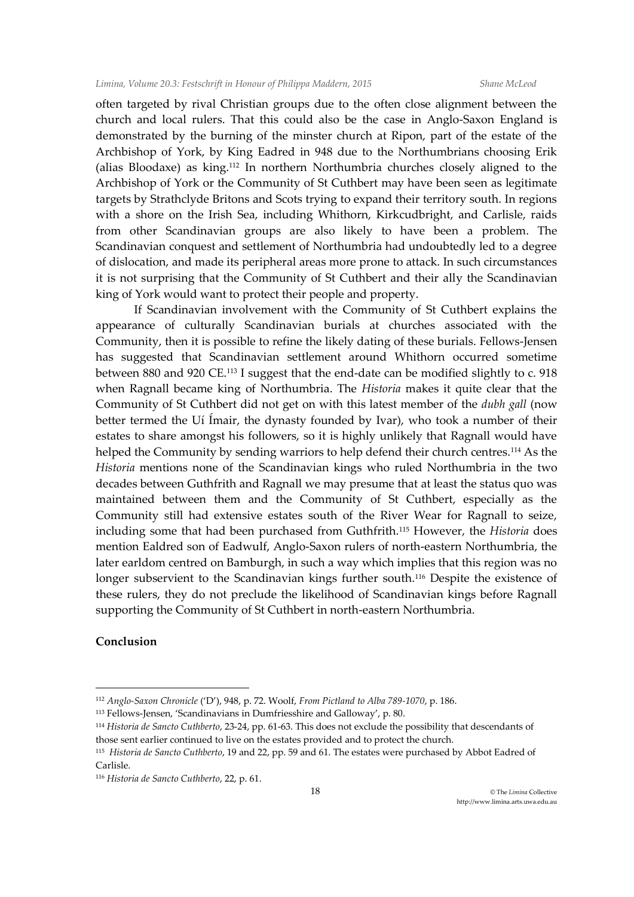often targeted by rival Christian groups due to the often close alignment between the church and local rulers. That this could also be the case in Anglo-Saxon England is demonstrated by the burning of the minster church at Ripon, part of the estate of the Archbishop of York, by King Eadred in 948 due to the Northumbrians choosing Erik (alias Bloodaxe) as king.<sup>112</sup> In northern Northumbria churches closely aligned to the Archbishop of York or the Community of St Cuthbert may have been seen as legitimate targets by Strathclyde Britons and Scots trying to expand their territory south. In regions with a shore on the Irish Sea, including Whithorn, Kirkcudbright, and Carlisle, raids from other Scandinavian groups are also likely to have been a problem. The Scandinavian conquest and settlement of Northumbria had undoubtedly led to a degree of dislocation, and made its peripheral areas more prone to attack. In such circumstances it is not surprising that the Community of St Cuthbert and their ally the Scandinavian king of York would want to protect their people and property.

If Scandinavian involvement with the Community of St Cuthbert explains the appearance of culturally Scandinavian burials at churches associated with the Community, then it is possible to refine the likely dating of these burials. Fellows-Jensen has suggested that Scandinavian settlement around Whithorn occurred sometime between 880 and 920 CE.<sup>113</sup> I suggest that the end-date can be modified slightly to c. 918 when Ragnall became king of Northumbria. The *Historia* makes it quite clear that the Community of St Cuthbert did not get on with this latest member of the *dubh gall* (now better termed the Uí Ímair, the dynasty founded by Ivar), who took a number of their estates to share amongst his followers, so it is highly unlikely that Ragnall would have helped the Community by sending warriors to help defend their church centres.<sup>114</sup> As the *Historia* mentions none of the Scandinavian kings who ruled Northumbria in the two decades between Guthfrith and Ragnall we may presume that at least the status quo was maintained between them and the Community of St Cuthbert, especially as the Community still had extensive estates south of the River Wear for Ragnall to seize, including some that had been purchased from Guthfrith.<sup>115</sup> However, the *Historia* does mention Ealdred son of Eadwulf, Anglo-Saxon rulers of north-eastern Northumbria, the later earldom centred on Bamburgh, in such a way which implies that this region was no longer subservient to the Scandinavian kings further south.<sup>116</sup> Despite the existence of these rulers, they do not preclude the likelihood of Scandinavian kings before Ragnall supporting the Community of St Cuthbert in north-eastern Northumbria.

## **Conclusion**

<sup>112</sup> *Anglo-Saxon Chronicle* ('D'), 948, p. 72. Woolf, *From Pictland to Alba 789-1070*, p. 186.

<sup>113</sup> Fellows-Jensen, 'Scandinavians in Dumfriesshire and Galloway', p. 80.

<sup>114</sup> *Historia de Sancto Cuthberto*, 23-24, pp. 61-63. This does not exclude the possibility that descendants of those sent earlier continued to live on the estates provided and to protect the church.

<sup>115</sup> *Historia de Sancto Cuthberto*, 19 and 22, pp. 59 and 61. The estates were purchased by Abbot Eadred of Carlisle.

<sup>116</sup> *Historia de Sancto Cuthberto*, 22, p. 61.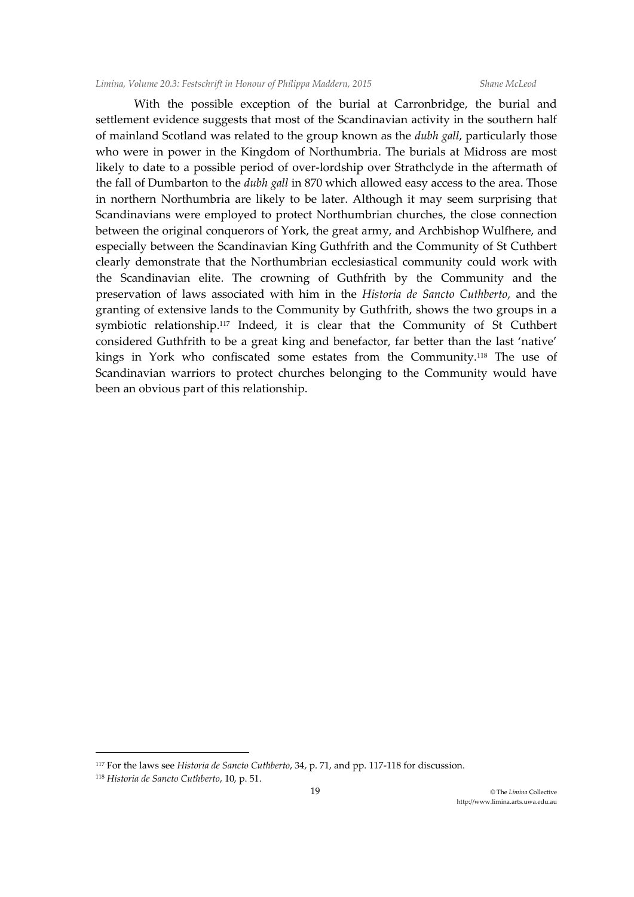With the possible exception of the burial at Carronbridge, the burial and settlement evidence suggests that most of the Scandinavian activity in the southern half of mainland Scotland was related to the group known as the *dubh gall*, particularly those who were in power in the Kingdom of Northumbria. The burials at Midross are most likely to date to a possible period of over-lordship over Strathclyde in the aftermath of the fall of Dumbarton to the *dubh gall* in 870 which allowed easy access to the area. Those in northern Northumbria are likely to be later. Although it may seem surprising that Scandinavians were employed to protect Northumbrian churches, the close connection between the original conquerors of York, the great army, and Archbishop Wulfhere, and especially between the Scandinavian King Guthfrith and the Community of St Cuthbert clearly demonstrate that the Northumbrian ecclesiastical community could work with the Scandinavian elite. The crowning of Guthfrith by the Community and the preservation of laws associated with him in the *Historia de Sancto Cuthberto*, and the granting of extensive lands to the Community by Guthfrith, shows the two groups in a symbiotic relationship.<sup>117</sup> Indeed, it is clear that the Community of St Cuthbert considered Guthfrith to be a great king and benefactor, far better than the last 'native' kings in York who confiscated some estates from the Community.<sup>118</sup> The use of Scandinavian warriors to protect churches belonging to the Community would have been an obvious part of this relationship.

<sup>117</sup> For the laws see *Historia de Sancto Cuthberto*, 34, p. 71, and pp. 117-118 for discussion.

<sup>118</sup> *Historia de Sancto Cuthberto*, 10, p. 51.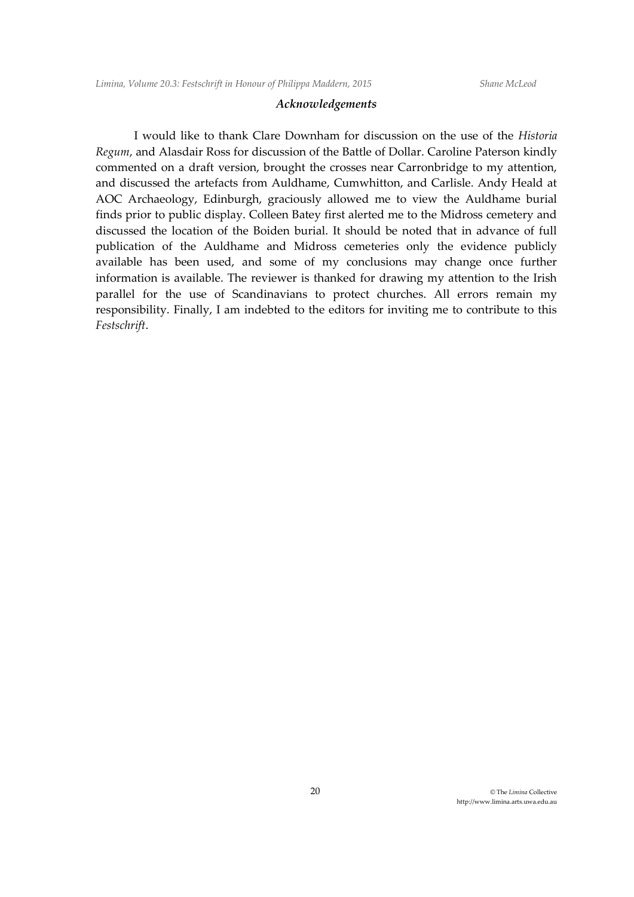## *Acknowledgements*

I would like to thank Clare Downham for discussion on the use of the *Historia Regum*, and Alasdair Ross for discussion of the Battle of Dollar. Caroline Paterson kindly commented on a draft version, brought the crosses near Carronbridge to my attention, and discussed the artefacts from Auldhame, Cumwhitton, and Carlisle. Andy Heald at AOC Archaeology, Edinburgh, graciously allowed me to view the Auldhame burial finds prior to public display. Colleen Batey first alerted me to the Midross cemetery and discussed the location of the Boiden burial. It should be noted that in advance of full publication of the Auldhame and Midross cemeteries only the evidence publicly available has been used, and some of my conclusions may change once further information is available. The reviewer is thanked for drawing my attention to the Irish parallel for the use of Scandinavians to protect churches. All errors remain my responsibility. Finally, I am indebted to the editors for inviting me to contribute to this *Festschrift*.